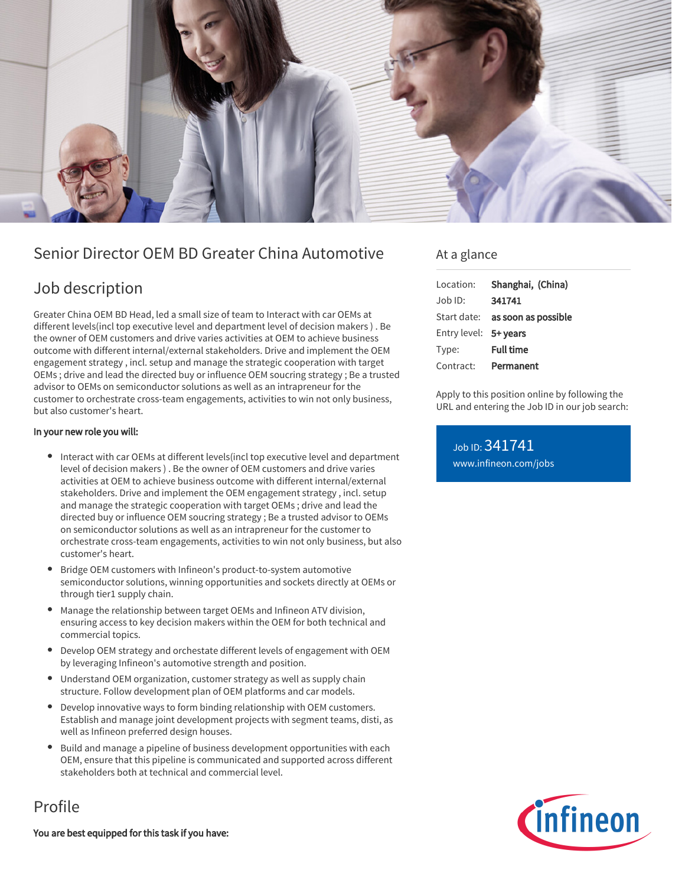

# Senior Director OEM BD Greater China Automotive

# Job description

Greater China OEM BD Head, led a small size of team to Interact with car OEMs at different levels(incl top executive level and department level of decision makers ) . Be the owner of OEM customers and drive varies activities at OEM to achieve business outcome with different internal/external stakeholders. Drive and implement the OEM engagement strategy , incl. setup and manage the strategic cooperation with target OEMs ; drive and lead the directed buy or influence OEM soucring strategy ; Be a trusted advisor to OEMs on semiconductor solutions as well as an intrapreneur for the customer to orchestrate cross-team engagements, activities to win not only business, but also customer's heart.

### In your new role you will:

- Interact with car OEMs at different levels(incl top executive level and department level of decision makers ) . Be the owner of OEM customers and drive varies activities at OEM to achieve business outcome with different internal/external stakeholders. Drive and implement the OEM engagement strategy , incl. setup and manage the strategic cooperation with target OEMs ; drive and lead the directed buy or influence OEM soucring strategy ; Be a trusted advisor to OEMs on semiconductor solutions as well as an intrapreneur for the customer to orchestrate cross-team engagements, activities to win not only business, but also customer's heart.
- Bridge OEM customers with Infineon's product-to-system automotive semiconductor solutions, winning opportunities and sockets directly at OEMs or through tier1 supply chain.
- Manage the relationship between target OEMs and Infineon ATV division, ensuring access to key decision makers within the OEM for both technical and commercial topics.
- Develop OEM strategy and orchestate different levels of engagement with OEM by leveraging Infineon's automotive strength and position.
- Understand OEM organization, customer strategy as well as supply chain structure. Follow development plan of OEM platforms and car models.
- Develop innovative ways to form binding relationship with OEM customers. Establish and manage joint development projects with segment teams, disti, as well as Infineon preferred design houses.
- Build and manage a pipeline of business development opportunities with each OEM, ensure that this pipeline is communicated and supported across different stakeholders both at technical and commercial level.

### Profile

You are best equipped for this task if you have:

### At a glance

| Location:             | Shanghai, (China)   |
|-----------------------|---------------------|
| Job ID:               | 341741              |
| Start date:           | as soon as possible |
| Entry level: 5+ years |                     |
| Type:                 | <b>Full time</b>    |
| Contract:             | Permanent           |

Apply to this position online by following the URL and entering the Job ID in our job search:

Job ID: 341741 [www.infineon.com/jobs](https://www.infineon.com/jobs)